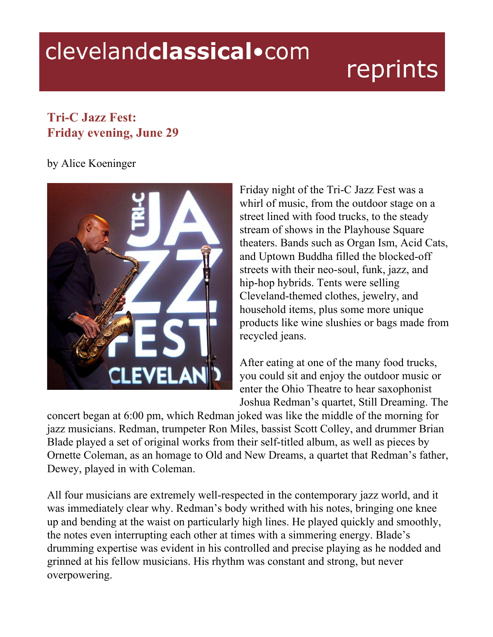## clevelandclassical.com

## reprints

## **Tri-C Jazz Fest: Friday evening, June 29**

## by Alice Koeninger



Friday night of the Tri-C Jazz Fest was a whirl of music, from the outdoor stage on a street lined with food trucks, to the steady stream of shows in the Playhouse Square theaters. Bands such as Organ Ism, Acid Cats, and Uptown Buddha filled the blocked-off streets with their neo-soul, funk, jazz, and hip-hop hybrids. Tents were selling Cleveland-themed clothes, jewelry, and household items, plus some more unique products like wine slushies or bags made from recycled jeans.

After eating at one of the many food trucks, you could sit and enjoy the outdoor music or enter the Ohio Theatre to hear saxophonist Joshua Redman's quartet, Still Dreaming. The

concert began at 6:00 pm, which Redman joked was like the middle of the morning for jazz musicians. Redman, trumpeter Ron Miles, bassist Scott Colley, and drummer Brian Blade played a set of original works from their self-titled album, as well as pieces by Ornette Coleman, as an homage to Old and New Dreams, a quartet that Redman's father, Dewey, played in with Coleman.

All four musicians are extremely well-respected in the contemporary jazz world, and it was immediately clear why. Redman's body writhed with his notes, bringing one knee up and bending at the waist on particularly high lines. He played quickly and smoothly, the notes even interrupting each other at times with a simmering energy. Blade's drumming expertise was evident in his controlled and precise playing as he nodded and grinned at his fellow musicians. His rhythm was constant and strong, but never overpowering.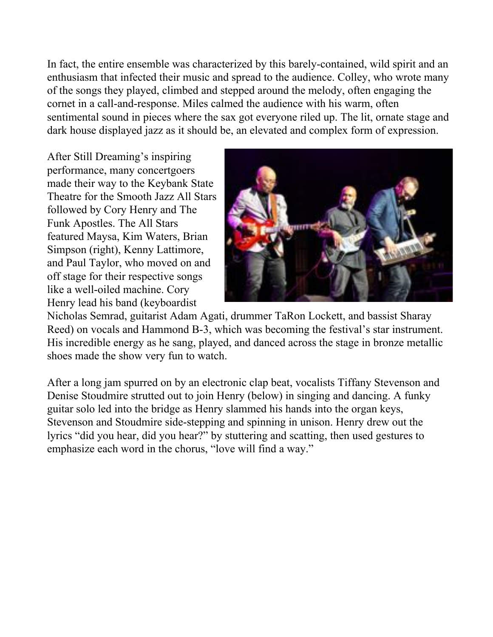In fact, the entire ensemble was characterized by this barely-contained, wild spirit and an enthusiasm that infected their music and spread to the audience. Colley, who wrote many of the songs they played, climbed and stepped around the melody, often engaging the cornet in a call-and-response. Miles calmed the audience with his warm, often sentimental sound in pieces where the sax got everyone riled up. The lit, ornate stage and dark house displayed jazz as it should be, an elevated and complex form of expression.

After Still Dreaming's inspiring performance, many concertgoers made their way to the Keybank State Theatre for the Smooth Jazz All Stars followed by Cory Henry and The Funk Apostles. The All Stars featured Maysa, Kim Waters, Brian Simpson (right), Kenny Lattimore, and Paul Taylor, who moved on and off stage for their respective songs like a well-oiled machine. Cory Henry lead his band (keyboardist



Nicholas Semrad, guitarist Adam Agati, drummer TaRon Lockett, and bassist Sharay Reed) on vocals and Hammond B-3, which was becoming the festival's star instrument. His incredible energy as he sang, played, and danced across the stage in bronze metallic shoes made the show very fun to watch.

After a long jam spurred on by an electronic clap beat, vocalists Tiffany Stevenson and Denise Stoudmire strutted out to join Henry (below) in singing and dancing. A funky guitar solo led into the bridge as Henry slammed his hands into the organ keys, Stevenson and Stoudmire side-stepping and spinning in unison. Henry drew out the lyrics "did you hear, did you hear?" by stuttering and scatting, then used gestures to emphasize each word in the chorus, "love will find a way."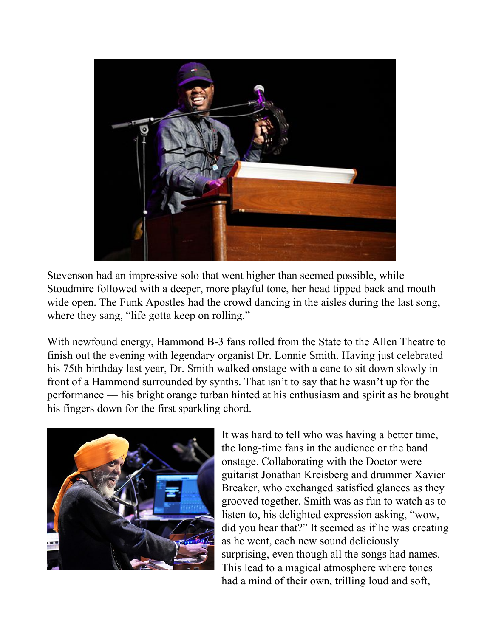

Stevenson had an impressive solo that went higher than seemed possible, while Stoudmire followed with a deeper, more playful tone, her head tipped back and mouth wide open. The Funk Apostles had the crowd dancing in the aisles during the last song, where they sang, "life gotta keep on rolling."

With newfound energy, Hammond B-3 fans rolled from the State to the Allen Theatre to finish out the evening with legendary organist Dr. Lonnie Smith. Having just celebrated his 75th birthday last year, Dr. Smith walked onstage with a cane to sit down slowly in front of a Hammond surrounded by synths. That isn't to say that he wasn't up for the performance –– his bright orange turban hinted at his enthusiasm and spirit as he brought his fingers down for the first sparkling chord.



It was hard to tell who was having a better time, the long-time fans in the audience or the band onstage. Collaborating with the Doctor were guitarist Jonathan Kreisberg and drummer Xavier Breaker, who exchanged satisfied glances as they grooved together. Smith was as fun to watch as to listen to, his delighted expression asking, "wow, did you hear that?" It seemed as if he was creating as he went, each new sound deliciously surprising, even though all the songs had names. This lead to a magical atmosphere where tones had a mind of their own, trilling loud and soft,